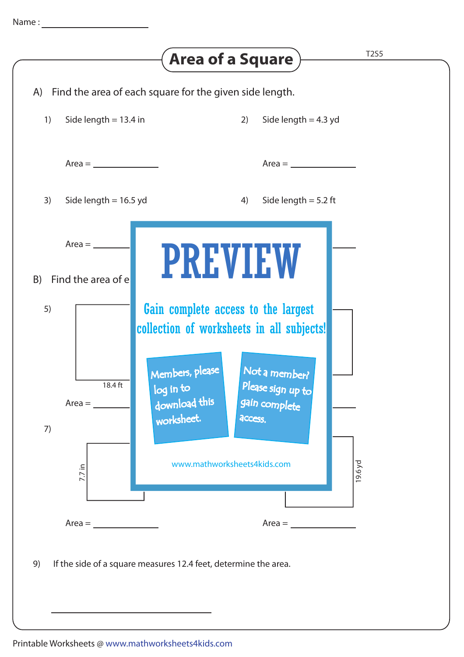